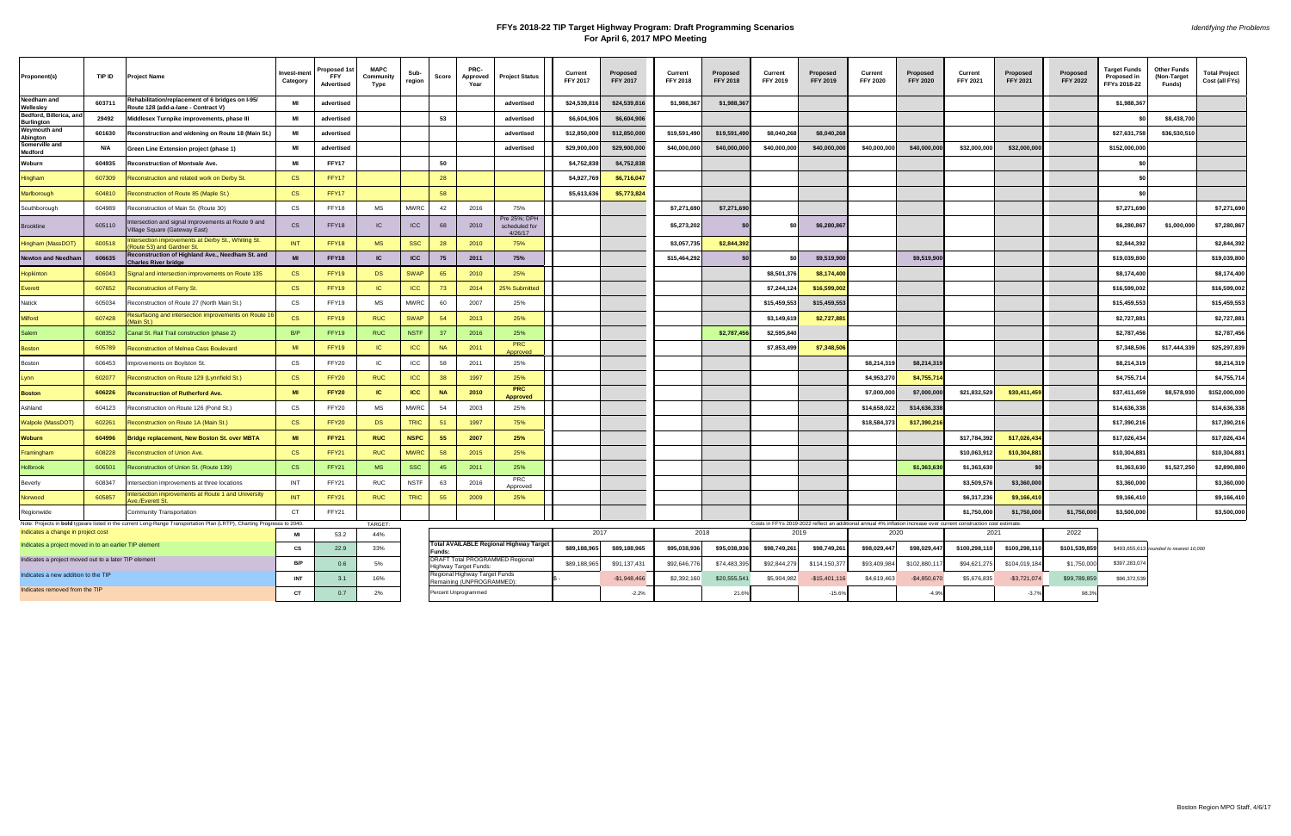## **FFYs 2018-22 TIP Target Highway Program: Draft Programming Scenarios For April 6, 2017 MPO Meeting**

| Proponent(s)                                                                                 | TIP ID | <b>Project Name</b>                                                                                                     | Invest-ment<br>Category | roposed 1<br><b>FFY</b><br>Advertised | <b>MAPC</b><br>Community<br>Type | Sub-<br>region | Score     | PRC-<br>Approved<br>Year                               | <b>Project Status</b>                    | Current<br><b>FFY 2017</b> | Proposed<br><b>FFY 2017</b> | Current<br><b>FFY 2018</b> | Proposed<br><b>FFY 2018</b> | Current<br>FFY 2019                                                                                                         | Proposed<br><b>FFY 2019</b> | Current<br><b>FFY 2020</b> | Proposed<br><b>FFY 2020</b> | Current<br><b>FFY 2021</b> | Proposed<br><b>FFY 2021</b> | Proposed<br><b>FFY 2022</b> | <b>Target Funds</b><br>Proposed in<br>FFYs 2018-22 | <b>Other Funds</b><br>(Non-Target<br>Funds) | <b>Total Project</b><br>Cost (all FYs) |
|----------------------------------------------------------------------------------------------|--------|-------------------------------------------------------------------------------------------------------------------------|-------------------------|---------------------------------------|----------------------------------|----------------|-----------|--------------------------------------------------------|------------------------------------------|----------------------------|-----------------------------|----------------------------|-----------------------------|-----------------------------------------------------------------------------------------------------------------------------|-----------------------------|----------------------------|-----------------------------|----------------------------|-----------------------------|-----------------------------|----------------------------------------------------|---------------------------------------------|----------------------------------------|
| Needham and<br>Wellesley                                                                     | 603711 | ehabilitation/replacement of 6 bridges on I-95/<br>oute 128 (add-a-lane - Contract V)                                   |                         | advertised                            |                                  |                |           |                                                        | advertised                               | \$24,539,816               | \$24,539,816                | \$1,988,367                | \$1,988,367                 |                                                                                                                             |                             |                            |                             |                            |                             |                             | \$1,988,367                                        |                                             |                                        |
| Bedford, Billerica, and<br><b>Burlington</b>                                                 | 29492  | Middlesex Turnpike improvements, phase III                                                                              | MI                      | advertised                            |                                  |                | 53        |                                                        | advertised                               | \$6,604,906                | \$6,604,906                 |                            |                             |                                                                                                                             |                             |                            |                             |                            |                             |                             |                                                    | \$8,438,700                                 |                                        |
| <b>Weymouth and</b><br><b>Abington</b>                                                       | 601630 | Reconstruction and widening on Route 18 (Main St.)                                                                      | MI                      | advertised                            |                                  |                |           |                                                        | advertised                               | \$12,850,000               | \$12,850,000                | \$19,591,490               | \$19,591,490                | \$8,040,268                                                                                                                 | \$8,040,268                 |                            |                             |                            |                             |                             | \$27,631,758                                       | \$36,530,510                                |                                        |
| Somerville and<br>Medford                                                                    | N/A    | Green Line Extension project (phase 1)                                                                                  | MI                      | advertised                            |                                  |                |           |                                                        | advertised                               | \$29,900,000               | \$29,900,000                | \$40,000,000               | \$40,000,000                | \$40,000,000                                                                                                                | \$40,000,000                | \$40,000,000               | \$40,000,000                | \$32,000,000               | \$32,000,00                 |                             | \$152,000,000                                      |                                             |                                        |
| Woburn                                                                                       | 604935 | Reconstruction of Montvale Ave.                                                                                         | MI                      | <b>FFY17</b>                          |                                  |                | 50        |                                                        |                                          | \$4,752,838                | \$4,752,838                 |                            |                             |                                                                                                                             |                             |                            |                             |                            |                             |                             |                                                    |                                             |                                        |
| Hingham                                                                                      | 607309 | Reconstruction and related work on Derby St.                                                                            | <b>CS</b>               | FFY17                                 |                                  |                | 28        |                                                        |                                          | \$4,927,769                | \$6,716,047                 |                            |                             |                                                                                                                             |                             |                            |                             |                            |                             |                             |                                                    |                                             |                                        |
| Marlborough                                                                                  | 604810 | Reconstruction of Route 85 (Maple St.)                                                                                  | <b>CS</b>               | FFY17                                 |                                  |                | 58        |                                                        |                                          | \$5,613,636                | \$5,773,824                 |                            |                             |                                                                                                                             |                             |                            |                             |                            |                             |                             | \$0                                                |                                             |                                        |
| Southborough                                                                                 | 604989 | Reconstruction of Main St. (Route 30)                                                                                   | CS                      | FFY18                                 | MS                               | <b>MWRC</b>    | 42        | 2016                                                   | 75%                                      |                            |                             | \$7,271,690                | \$7,271,69                  |                                                                                                                             |                             |                            |                             |                            |                             |                             | \$7,271,690                                        |                                             | \$7,271,690                            |
| 3rookline                                                                                    | 605110 | tersection and signal improvements at Route 9 and<br>illage Square (Gateway East)                                       | <b>CS</b>               | FFY18                                 | IC                               | ICC            | 68        | 2010                                                   | Pre 25%; DPH<br>scheduled for<br>4/26/17 |                            |                             | \$5,273,202                |                             | sol                                                                                                                         | \$6,280,867                 |                            |                             |                            |                             |                             | \$6,280,867                                        | \$1,000,000                                 | \$7,280,867                            |
| <b>Hingham</b> (MassDOT                                                                      | 600518 | ntersection improvements at Derby St., Whiting St.<br>Route 53) and Gardner St                                          | INT                     | FFY18                                 | <b>MS</b>                        | <b>SSC</b>     | 28        | 2010                                                   | 75%                                      |                            |                             | \$3,057,735                | \$2,844,392                 |                                                                                                                             |                             |                            |                             |                            |                             |                             | \$2,844,392                                        |                                             | \$2,844,392                            |
| <b>Newton and Needhar</b>                                                                    | 606635 | Reconstruction of Highland Ave., Needham St. and<br><b>Charles River bridge</b>                                         | <b>MI</b>               | FFY18                                 | IC                               | <b>ICC</b>     | 75        | 2011                                                   | 75%                                      |                            |                             | \$15,464,292               |                             | \$0                                                                                                                         | \$9,519,900                 |                            | \$9,519,900                 |                            |                             |                             | \$19,039,800                                       |                                             | \$19,039,800                           |
| Hopkinton                                                                                    | 606043 | Signal and intersection improvements on Route 135                                                                       | <b>CS</b>               | FFY19                                 | <b>DS</b>                        | <b>SWAP</b>    | 65        | 2010                                                   | 25%                                      |                            |                             |                            |                             | \$8,501,376                                                                                                                 | \$8,174,40                  |                            |                             |                            |                             |                             | \$8,174,400                                        |                                             | \$8,174,400                            |
| Everett                                                                                      | 607652 | Reconstruction of Ferry St.                                                                                             | CS                      | FFY19                                 | -IC                              | <b>ICC</b>     | 73        | 2014                                                   | 25% Submitted                            |                            |                             |                            |                             | \$7,244,124                                                                                                                 | \$16,599,002                |                            |                             |                            |                             |                             | \$16,599,002                                       |                                             | \$16,599,002                           |
| Natick                                                                                       | 605034 | Reconstruction of Route 27 (North Main St.)                                                                             | CS                      | FFY19                                 | MS                               | <b>MWRC</b>    | 60        | 2007                                                   | 25%                                      |                            |                             |                            |                             | \$15,459,553                                                                                                                | \$15,459,553                |                            |                             |                            |                             |                             | \$15,459,553                                       |                                             | \$15,459,553                           |
| <b>Milford</b>                                                                               | 607428 | Resurfacing and intersection improvements on Route 16<br>Main St.)                                                      | <b>CS</b>               | FFY19                                 | <b>RUC</b>                       | <b>SWAP</b>    | 54        | 2013                                                   | 25%                                      |                            |                             |                            |                             | \$3,149,619                                                                                                                 | \$2,727,881                 |                            |                             |                            |                             |                             | \$2,727,881                                        |                                             | \$2,727,881                            |
| Salem                                                                                        | 608352 | Canal St. Rail Trail construction (phase 2)                                                                             | B/P                     | FFY19                                 | <b>RUC</b>                       | <b>NSTF</b>    | 37        | 2016                                                   | 25%                                      |                            |                             |                            | \$2,787,45                  | \$2,595,840                                                                                                                 |                             |                            |                             |                            |                             |                             | \$2,787,456                                        |                                             | \$2,787,456                            |
| <b>Boston</b>                                                                                | 605789 | Reconstruction of Melnea Cass Boulevard                                                                                 | MI                      | FFY19                                 | IC                               | <b>ICC</b>     | <b>NA</b> | 2011                                                   | <b>PRC</b><br>Approved                   |                            |                             |                            |                             | \$7,853,499                                                                                                                 | \$7,348,506                 |                            |                             |                            |                             |                             | \$7,348,506                                        | \$17,444,339                                | \$25,297,839                           |
| Boston                                                                                       | 606453 | Improvements on Boylston St.                                                                                            | CS                      | FFY20                                 | IC                               | ICC            | 58        | 2011                                                   | 25%                                      |                            |                             |                            |                             |                                                                                                                             |                             | \$8,214,319                | \$8,214,319                 |                            |                             |                             | \$8,214,319                                        |                                             | \$8,214,319                            |
| Lvnn                                                                                         | 602077 | econstruction on Route 129 (Lynnfield St.)                                                                              | <b>CS</b>               | FFY20                                 | <b>RUC</b>                       | <b>ICC</b>     | 38        | 1997                                                   | 25%                                      |                            |                             |                            |                             |                                                                                                                             |                             | \$4,953,270                | \$4,755,71                  |                            |                             |                             | \$4,755,714                                        |                                             | \$4,755,714                            |
| Boston                                                                                       | 606226 | Reconstruction of Rutherford Ave.                                                                                       | MI                      | <b>FFY20</b>                          | <b>IC</b>                        | <b>ICC</b>     | <b>NA</b> | 2010                                                   | <b>PRC</b><br>Approved                   |                            |                             |                            |                             |                                                                                                                             |                             | \$7,000,000                | \$7,000,000                 | \$21,832,529               | \$30,411,45                 |                             | \$37,411,459                                       | \$8,578,930                                 | \$152,000,000                          |
| Ashland                                                                                      | 604123 | Reconstruction on Route 126 (Pond St.)                                                                                  | CS                      | FFY20                                 | <b>MS</b>                        | <b>MWRC</b>    | 54        | 2003                                                   | 25%                                      |                            |                             |                            |                             |                                                                                                                             |                             | \$14,658,022               | \$14,636,338                |                            |                             |                             | \$14,636,338                                       |                                             | \$14,636,338                           |
| <b>Valpole (MassDOT</b>                                                                      | 602261 | econstruction on Route 1A (Main St.)                                                                                    | <b>CS</b>               | FFY20                                 | DS.                              | <b>TRIC</b>    | 51        | 1997                                                   | 75%                                      |                            |                             |                            |                             |                                                                                                                             |                             | \$18,584,373               | \$17,390,21                 |                            |                             |                             | \$17,390,216                                       |                                             | \$17,390,216                           |
| Woburn                                                                                       | 604996 | Bridge replacement, New Boston St. over MBTA                                                                            | MI                      | <b>FFY21</b>                          | <b>RUC</b>                       | <b>NSPC</b>    | 55        | 2007                                                   | 25%                                      |                            |                             |                            |                             |                                                                                                                             |                             |                            |                             | \$17,784,392               | \$17,026,43                 |                             | \$17,026,434                                       |                                             | \$17,026,434                           |
| Framingham                                                                                   | 608228 | Reconstruction of Union Ave                                                                                             | <b>CS</b>               | FFY21                                 | <b>RUC</b>                       | <b>MWRC</b>    | 58        | 2015                                                   | 25%                                      |                            |                             |                            |                             |                                                                                                                             |                             |                            |                             | \$10,063,912               | \$10,304,88                 |                             | \$10,304,881                                       |                                             | \$10,304,881                           |
| <b>Holbrook</b>                                                                              | 606501 | Reconstruction of Union St. (Route 139)                                                                                 | <b>CS</b>               | FFY21                                 | <b>MS</b>                        | <b>SSC</b>     | 45        | 2011                                                   | 25%                                      |                            |                             |                            |                             |                                                                                                                             |                             |                            | \$1,363,630                 | \$1,363,630                |                             |                             | \$1,363,630                                        | \$1,527,250                                 | \$2,890,880                            |
| Beverly                                                                                      | 608347 | Intersection improvements at three locations                                                                            | INT                     | FFY21                                 | RUC                              | <b>NSTF</b>    | 63        | 2016                                                   | <b>PRC</b><br>Approved                   |                            |                             |                            |                             |                                                                                                                             |                             |                            |                             | \$3,509,576                | \$3,360,000                 |                             | \$3,360,000                                        |                                             | \$3,360,000                            |
| <b>Norwood</b>                                                                               | 605857 | ntersection improvements at Route 1 and University<br><b>Nve./Everett St</b>                                            | INT                     | FFY21                                 | <b>RUC</b>                       | <b>TRIC</b>    | 55        | 2009                                                   | 25%                                      |                            |                             |                            |                             |                                                                                                                             |                             |                            |                             | \$6,317,236                | \$9,166,41                  |                             | \$9,166,410                                        |                                             | \$9,166,410                            |
| Regionwide                                                                                   |        | Community Transportation                                                                                                | <b>CT</b>               | FFY21                                 |                                  |                |           |                                                        |                                          |                            |                             |                            |                             |                                                                                                                             |                             |                            |                             | \$1,750,000                | \$1,750,000                 | \$1,750,00                  | \$3,500,000                                        |                                             | \$3,500,000                            |
|                                                                                              |        | Note: Projects in bold typeare listed in the current Long-Range Transportation Plan (LRTP), Charting Progresss to 2040. |                         |                                       | TARGET:                          |                |           |                                                        |                                          | 2017                       |                             | 2018                       |                             | Costs in FFYs 2019-2022 reflect an additional annual 4% inflation increase over current construction cost estimate.<br>2019 |                             | 2020                       |                             | 2021                       |                             | 2022                        |                                                    |                                             |                                        |
| Indicates a change in project cost<br>Indicates a project moved in to an earlier TIP element |        |                                                                                                                         | MI                      | 53.2                                  | 44%                              |                |           |                                                        | Total AVAILABLE Regional Highway Target  |                            |                             |                            |                             |                                                                                                                             |                             |                            |                             |                            |                             |                             |                                                    |                                             |                                        |
|                                                                                              |        |                                                                                                                         | CS                      | 22.9                                  | 33%                              |                | Funds:    |                                                        | DRAFT Total PROGRAMMED Regional          | \$89,188,965               | \$89,188,965                | \$95,038,936               | \$95,038,936                | \$98,749,261                                                                                                                | \$98,749,261                | \$98,029,447               | \$98,029,447                | \$100,298,110              | \$100,298,110               | \$101,539,859               |                                                    | \$493,655,613 rounded to nearest 10,000     |                                        |
| Indicates a project moved out to a later TIP element                                         |        |                                                                                                                         | B/P                     | 0.6                                   | 5%                               |                |           | Highway Target Funds:<br>Regional Highway Target Funds |                                          | \$89,188,965               | \$91,137,431                | \$92,646,776               | \$74,483,395                | \$92,844,279                                                                                                                | \$114,150,37                | \$93,409,984               | \$102,880,1                 | \$94,621,275               | \$104,019,184               | \$1,750,000                 | \$397,283,074                                      |                                             |                                        |
| Indicates a new addition to the TIP                                                          |        |                                                                                                                         | <b>INT</b>              | 3.1                                   | 16%                              |                |           | Remaining (UNPROGRAMMED):                              |                                          |                            | $-$1,948,466$               | \$2,392,160                | \$20,555,541                | \$5,904,982                                                                                                                 | $-$15,401,116$              | \$4,619,463                | $-$4,850,670$               | \$5,676,835                | $-$3,721,074$               | \$99,789,859                | \$96,372,539                                       |                                             |                                        |
| Indicates removed from the TIP                                                               |        |                                                                                                                         | CT                      | 0.7                                   | 2%                               |                |           | Percent Unprogrammed                                   |                                          |                            | $-2.2%$                     |                            | 21.6%                       |                                                                                                                             | $-15.69$                    |                            | $-4.99$                     |                            | $-3.7%$                     | 98.3%                       |                                                    |                                             |                                        |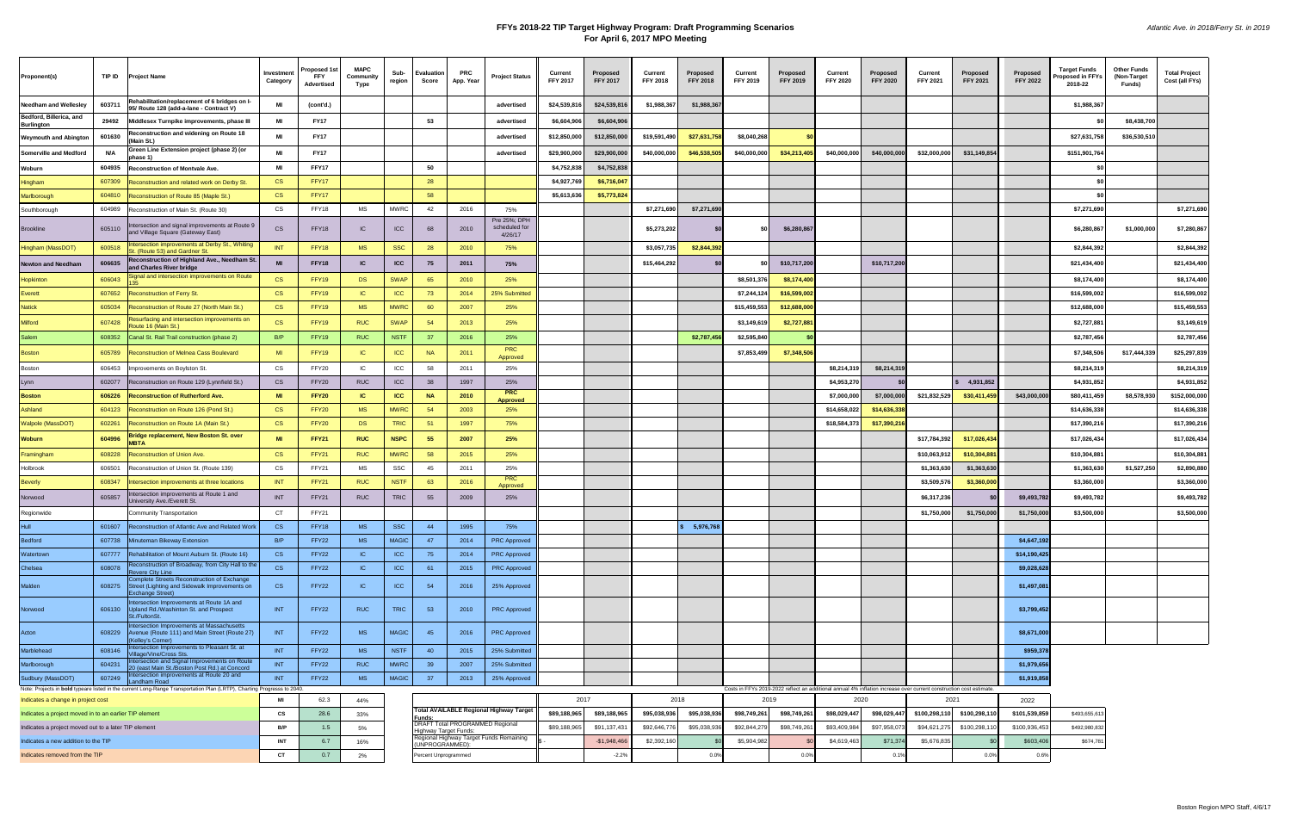## **FFYs 2018-22 TIP Target Highway Program: Draft Programming Scenarios For April 6, 2017 MPO Meeting**

| Proponent(s)                                                                                                                                                  | TIP ID | <b>Project Name</b>                                                                                              | Investment<br>Category | Proposed 1st<br><b>FFY</b><br>Advertised | <b>MAPC</b><br>Community<br>Type | Sub-<br>region | <b>Evaluation</b><br>Score      | PRC.<br>App. Year | <b>Project Status</b>                          | <b>Current</b><br><b>FFY 2017</b> | Proposed<br><b>FFY 2017</b> | Current<br><b>FFY 2018</b> | Proposed<br><b>FFY 2018</b> | Current<br><b>FFY 2019</b>                                                                                          | Proposed<br><b>FFY 2019</b> | Current<br><b>FFY 2020</b> | Proposed<br><b>FFY 2020</b> | Current<br><b>FFY 2021</b> | Proposed<br><b>FFY 2021</b> | Proposed<br><b>FFY 2022</b> | Target Funds<br>oposed in FFYs<br>2018-22 | <b>Other Funds</b><br>(Non-Target<br>Funds) | <b>Total Project</b><br>Cost (all FYs) |
|---------------------------------------------------------------------------------------------------------------------------------------------------------------|--------|------------------------------------------------------------------------------------------------------------------|------------------------|------------------------------------------|----------------------------------|----------------|---------------------------------|-------------------|------------------------------------------------|-----------------------------------|-----------------------------|----------------------------|-----------------------------|---------------------------------------------------------------------------------------------------------------------|-----------------------------|----------------------------|-----------------------------|----------------------------|-----------------------------|-----------------------------|-------------------------------------------|---------------------------------------------|----------------------------------------|
| Needham and Wellesley                                                                                                                                         | 603711 | Rehabilitation/replacement of 6 bridges on I-<br>95/ Route 128 (add-a-lane - Contract V)                         | МI                     | (cont'd.)                                |                                  |                |                                 |                   | advertised                                     | \$24,539,816                      | \$24,539,816                | \$1,988,367                | \$1,988,367                 |                                                                                                                     |                             |                            |                             |                            |                             |                             | \$1,988,367                               |                                             |                                        |
| Bedford, Billerica, and<br><b>Burlington</b>                                                                                                                  | 29492  | Middlesex Turnpike improvements, phase III                                                                       | МI                     | <b>FY17</b>                              |                                  |                | 53                              |                   | advertised                                     | \$6,604,906                       | \$6,604,906                 |                            |                             |                                                                                                                     |                             |                            |                             |                            |                             |                             |                                           | \$8,438,700                                 |                                        |
| <b>Weymouth and Abington</b>                                                                                                                                  | 601630 | Reconstruction and widening on Route 18<br>(Main St.)                                                            | MI                     | <b>FY17</b>                              |                                  |                |                                 |                   | advertised                                     | \$12,850,000                      | \$12,850,000                | \$19,591,490               | \$27,631,75                 | \$8,040,268                                                                                                         |                             |                            |                             |                            |                             |                             | \$27,631,758                              | \$36,530,510                                |                                        |
| <b>Somerville and Medford</b>                                                                                                                                 | N/A    | Green Line Extension project (phase 2) (or<br>phase 1)                                                           | МI                     | <b>FY17</b>                              |                                  |                |                                 |                   | advertised                                     | \$29,900,000                      | \$29,900,000                | \$40,000,000               | \$46,538,505                | \$40,000,000                                                                                                        | \$34,213,405                | \$40,000,000               | \$40,000,000                | \$32,000,000               | \$31,149,854                |                             | \$151,901,764                             |                                             |                                        |
| Woburn                                                                                                                                                        | 604935 | <b>Reconstruction of Montvale Ave.</b>                                                                           | МI                     | FFY17                                    |                                  |                | 50                              |                   |                                                | \$4,752,838                       | \$4,752,838                 |                            |                             |                                                                                                                     |                             |                            |                             |                            |                             |                             |                                           |                                             |                                        |
| Hingham                                                                                                                                                       | 607309 | Reconstruction and related work on Derby St.                                                                     | <b>CS</b>              | FFY17                                    |                                  |                | 28                              |                   |                                                | \$4,927,769                       | \$6,716,047                 |                            |                             |                                                                                                                     |                             |                            |                             |                            |                             |                             |                                           |                                             |                                        |
| Marlborough                                                                                                                                                   | 604810 | Reconstruction of Route 85 (Maple St.)                                                                           | CS                     | FFY17                                    |                                  |                | 58                              |                   |                                                | \$5,613,636                       | \$5,773,824                 |                            |                             |                                                                                                                     |                             |                            |                             |                            |                             |                             |                                           |                                             |                                        |
| Southborough                                                                                                                                                  | 604989 | Reconstruction of Main St. (Route 30)                                                                            | CS                     | FFY18                                    | MS                               | <b>MWRC</b>    | 42                              | 2016              | 75%                                            |                                   |                             | \$7,271,690                | \$7,271,690                 |                                                                                                                     |                             |                            |                             |                            |                             |                             | \$7,271,690                               |                                             | \$7,271,690                            |
| Brookline                                                                                                                                                     | 605110 | ntersection and signal improvements at Route 9<br>and Village Square (Gateway East)                              | CS                     | FFY18                                    | IC                               | <b>ICC</b>     | 68                              | 2010              | Pre 25%; DPH<br>scheduled for<br>4/26/17       |                                   |                             | \$5,273,202                |                             | -SO                                                                                                                 | \$6,280,867                 |                            |                             |                            |                             |                             | \$6,280,867                               | \$1,000,000                                 | \$7,280,867                            |
| Hingham (MassDOT)                                                                                                                                             | 600518 | ntersection improvements at Derby St., Whiting<br>. (Route 53) and Gardner St.                                   | <b>INT</b>             | FFY18                                    | <b>MS</b>                        | <b>SSC</b>     | 28                              | 2010              | 75%                                            |                                   |                             | \$3,057,735                | \$2,844,39                  |                                                                                                                     |                             |                            |                             |                            |                             |                             | \$2,844,392                               |                                             | \$2,844,392                            |
| <b>Newton and Needham</b>                                                                                                                                     | 606635 | Reconstruction of Highland Ave., Needham St.<br>and Charles River bridge                                         | <b>MI</b>              | FFY18                                    | <b>IC</b>                        | <b>ICC</b>     | 75                              | 2011              | 75%                                            |                                   |                             | \$15,464,292               |                             |                                                                                                                     | \$10,717,200                |                            | \$10,717,200                |                            |                             |                             | \$21,434,400                              |                                             | \$21,434,400                           |
| Hopkinton                                                                                                                                                     | 606043 | Signal and intersection improvements on Route                                                                    | CS                     | FFY19                                    | <b>DS</b>                        | <b>SWAP</b>    | 65                              | 2010              | 25%                                            |                                   |                             |                            |                             | \$8,501,376                                                                                                         | \$8,174,400                 |                            |                             |                            |                             |                             | \$8,174,400                               |                                             | \$8,174,400                            |
| Everett                                                                                                                                                       | 607652 | <b>Reconstruction of Ferry St.</b>                                                                               | CS                     | FFY19                                    | IC                               | ICC            | 73                              | 2014              | 25% Submitted                                  |                                   |                             |                            |                             | \$7,244,124                                                                                                         | \$16,599,002                |                            |                             |                            |                             |                             | \$16,599,002                              |                                             | \$16,599,002                           |
| <b>Natick</b>                                                                                                                                                 | 605034 | Reconstruction of Route 27 (North Main St.)                                                                      | <b>CS</b>              | FFY19                                    | <b>MS</b>                        | <b>MWRC</b>    | 60                              | 2007              | 25%                                            |                                   |                             |                            |                             | \$15,459,553                                                                                                        | \$12,688,000                |                            |                             |                            |                             |                             | \$12,688,000                              |                                             | \$15,459,553                           |
| Milford                                                                                                                                                       | 607428 | Resurfacing and intersection improvements on<br>Route 16 (Main St.)                                              | CS                     | FFY19                                    | <b>RUC</b>                       | <b>SWAP</b>    | 54                              | 2013              | 25%                                            |                                   |                             |                            |                             | \$3,149,619                                                                                                         | \$2,727,88                  |                            |                             |                            |                             |                             | \$2,727,881                               |                                             | \$3,149,619                            |
| Salem                                                                                                                                                         | 608352 | Canal St. Rail Trail construction (phase 2)                                                                      | B/P                    | FFY19                                    | <b>RUC</b>                       | <b>NSTF</b>    | -37                             | 2016              | 25%                                            |                                   |                             |                            | \$2,787,45                  | \$2,595,840                                                                                                         |                             |                            |                             |                            |                             |                             | \$2,787,456                               |                                             | \$2,787,456                            |
| <b>Boston</b>                                                                                                                                                 | 605789 | Reconstruction of Melnea Cass Boulevard                                                                          | MI                     | FFY19                                    | IC                               | ICC            | <b>NA</b>                       | 2011              | <b>PRC</b><br>Approved                         |                                   |                             |                            |                             | \$7,853,499                                                                                                         | \$7,348,506                 |                            |                             |                            |                             |                             | \$7,348,506                               | \$17,444,339                                | \$25,297,839                           |
| <b>Boston</b>                                                                                                                                                 | 606453 | Improvements on Boylston St.                                                                                     | CS                     | FFY20                                    | IC                               | ICC            | 58                              | 2011              | 25%                                            |                                   |                             |                            |                             |                                                                                                                     |                             | \$8,214,319                | \$8,214,319                 |                            |                             |                             | \$8,214,319                               |                                             | \$8,214,319                            |
| Lynn                                                                                                                                                          | 602077 | Reconstruction on Route 129 (Lynnfield St.)                                                                      | CS                     | FFY20                                    | <b>RUC</b>                       | ICC            | 38                              | 1997              | 25%                                            |                                   |                             |                            |                             |                                                                                                                     |                             | \$4,953,270                |                             |                            | \$4,931,852                 |                             | \$4,931,852                               |                                             | \$4,931,852                            |
| Boston                                                                                                                                                        | 606226 | Reconstruction of Rutherford Ave                                                                                 | <b>MI</b>              | FFY20                                    | <b>IC</b>                        | <b>ICC</b>     | <b>NA</b>                       | 2010              | <b>PRC</b><br><u>Approved</u>                  |                                   |                             |                            |                             |                                                                                                                     |                             | \$7,000,000                | \$7,000,000                 | \$21,832,529               | \$30,411,45                 | \$43,000,000                | \$80,411,459                              | \$8,578,930                                 | \$152,000,000                          |
| Ashland                                                                                                                                                       | 604123 | Reconstruction on Route 126 (Pond St.)                                                                           | <b>CS</b>              | FFY20                                    | <b>MS</b>                        | <b>MWRC</b>    | 54                              | 2003              | 25%                                            |                                   |                             |                            |                             |                                                                                                                     |                             | \$14,658,022               | \$14,636,33                 |                            |                             |                             | \$14,636,338                              |                                             | \$14,636,338                           |
| Walpole (MassDOT)                                                                                                                                             | 602261 | Reconstruction on Route 1A (Main St.)                                                                            | CS                     | FFY20                                    | <b>DS</b>                        | <b>TRIC</b>    | 51                              | 1997              | 75%                                            |                                   |                             |                            |                             |                                                                                                                     |                             | \$18,584,373               | \$17,390,21                 |                            |                             |                             | \$17,390,216                              |                                             | \$17,390,216                           |
| <b>Woburn</b>                                                                                                                                                 | 604996 | <b>Bridge replacement, New Boston St. over</b><br><b>MBTA</b>                                                    | <b>MI</b>              | <b>FFY21</b>                             | <b>RUC</b>                       | <b>NSPC</b>    | 55                              | 2007              | 25%                                            |                                   |                             |                            |                             |                                                                                                                     |                             |                            |                             | \$17,784,392               | \$17,026,43                 |                             | \$17,026,434                              |                                             | \$17,026,434                           |
| Framingham                                                                                                                                                    | 608228 | Reconstruction of Union Ave.                                                                                     | CS                     | FFY21                                    | <b>RUC</b>                       | <b>MWRC</b>    | 58                              | 2015              | 25%                                            |                                   |                             |                            |                             |                                                                                                                     |                             |                            |                             | \$10,063,912               | \$10,304,88                 |                             | \$10,304,88                               |                                             | \$10,304,881                           |
| Holbrook                                                                                                                                                      | 606501 | Reconstruction of Union St. (Route 139)                                                                          | CS                     | FFY21                                    | MS                               | SSC            | 45                              | 2011              | 25%                                            |                                   |                             |                            |                             |                                                                                                                     |                             |                            |                             | \$1,363,630                | \$1,363,630                 |                             | \$1,363,630                               | \$1,527,250                                 | \$2,890,880                            |
| <b>Beverly</b>                                                                                                                                                | 608347 | Intersection improvements at three locations                                                                     | <b>INT</b>             | FFY21                                    | <b>RUC</b>                       | <b>NSTF</b>    | 63                              | 2016              | <b>PRC</b><br>Approved                         |                                   |                             |                            |                             |                                                                                                                     |                             |                            |                             | \$3,509,576                | \$3,360,00                  |                             | \$3,360,000                               |                                             | \$3,360,000                            |
| Norwood                                                                                                                                                       | 605857 | ntersection improvements at Route 1 and<br>Jniversity Ave./Everett St.                                           | <b>INT</b>             | FFY21                                    | <b>RUC</b>                       | <b>TRIC</b>    | 55                              | 2009              | 25%                                            |                                   |                             |                            |                             |                                                                                                                     |                             |                            |                             | \$6,317,236                |                             | \$9,493,78                  | \$9,493,782                               |                                             | \$9,493,782                            |
| Regionwide                                                                                                                                                    |        | Community Transportation                                                                                         | CT                     | FFY21                                    |                                  |                |                                 |                   |                                                |                                   |                             |                            |                             |                                                                                                                     |                             |                            |                             | \$1,750,000                | \$1,750,00                  | \$1,750,00                  | \$3,500,000                               |                                             | \$3,500,000                            |
| Hull                                                                                                                                                          |        | 601607 Reconstruction of Atlantic Ave and Related Work                                                           | <b>CS</b>              | FFY18                                    | <b>MS</b>                        | <b>SSC</b>     | 44                              | 1995              | 75%                                            |                                   |                             |                            | 5,976,768                   |                                                                                                                     |                             |                            |                             |                            |                             |                             |                                           |                                             |                                        |
| <b>Bedford</b>                                                                                                                                                | 607738 | Minuteman Bikeway Extension                                                                                      | B/P                    | FFY22                                    | <b>MS</b>                        | <b>MAGIC</b>   | 47                              | 2014              | <b>PRC Approved</b>                            |                                   |                             |                            |                             |                                                                                                                     |                             |                            |                             |                            |                             | \$4,647,19                  |                                           |                                             |                                        |
| Watertown                                                                                                                                                     | 607777 | Rehabilitation of Mount Auburn St. (Route 16)                                                                    | CS                     | FFY22                                    | IC                               | ICC            | 75                              | 2014              | <b>PRC Approved</b>                            |                                   |                             |                            |                             |                                                                                                                     |                             |                            |                             |                            |                             | \$14,190,425                |                                           |                                             |                                        |
| Chelsea                                                                                                                                                       | 608078 | Reconstruction of Broadway, from City Hall to the<br>evere City Line                                             | CS                     | FFY22                                    | IC                               | ICC            | 61                              | 2015              | <b>PRC Approved</b>                            |                                   |                             |                            |                             |                                                                                                                     |                             |                            |                             |                            |                             | \$9,028,62                  |                                           |                                             |                                        |
| Malden                                                                                                                                                        | 608275 | Complete Streets Reconstruction of Exchange<br>Street (Lighting and Sidewalk Improvements on<br>Exchange Street) | <b>CS</b>              | FFY22                                    | IC                               | ICC            | 54                              | 2016              | 25% Approved                                   |                                   |                             |                            |                             |                                                                                                                     |                             |                            |                             |                            |                             | \$1,497,081                 |                                           |                                             |                                        |
| Norwood                                                                                                                                                       | 606130 | Intersection Improvements at Route 1A and<br>Upland Rd./Washinton St. and Prospect<br>St./FultonSt.              | <b>INT</b>             | FFY22                                    | <b>RUC</b>                       | <b>TRIC</b>    | 53                              | 2010              | <b>PRC Approved</b>                            |                                   |                             |                            |                             |                                                                                                                     |                             |                            |                             |                            |                             | \$3,799,452                 |                                           |                                             |                                        |
| Acton                                                                                                                                                         | 608229 | ntersection Improvements at Massachusetts<br>Avenue (Route 111) and Main Street (Route 27)<br>(Kelley's Corner)  | INT                    | FFY22                                    | <b>MS</b>                        | <b>MAGIC</b>   | 45                              | 2016              | <b>PRC Approved</b>                            |                                   |                             |                            |                             |                                                                                                                     |                             |                            |                             |                            |                             | \$8,671,000                 |                                           |                                             |                                        |
| Marblehead                                                                                                                                                    | 608146 | Intersection Improvements to Pleasant St. at<br>'illage/Vine/Cross Sts.                                          | <b>INT</b>             | FFY22                                    | <b>MS</b>                        | <b>NSTF</b>    | 40                              | 2015              | 25% Submitted                                  |                                   |                             |                            |                             |                                                                                                                     |                             |                            |                             |                            |                             | \$959,37                    |                                           |                                             |                                        |
| Marlborough                                                                                                                                                   | 604231 | Intersection and Signal Improvements on Route<br>20 (east Main St./Boston Post Rd.) at Concord                   | INT                    | FFY22                                    | <b>RUC</b>                       | <b>MWRC</b>    | 39                              | 2007              | 25% Submitted                                  |                                   |                             |                            |                             |                                                                                                                     |                             |                            |                             |                            |                             | \$1,979,656                 |                                           |                                             |                                        |
| Sudbury (MassDOT)                                                                                                                                             | 607249 | ntersection improvements at Route 20 and<br>ndham Road                                                           | INT                    | FFY22                                    | <b>MS</b>                        | <b>MAGIC</b>   | 37                              | 2013              | 25% Approved                                   |                                   |                             |                            |                             | Costs in FFYs 2019-2022 reflect an additional annual 4% inflation increase over current construction cost estimate. |                             |                            |                             |                            |                             | \$1,919,858                 |                                           |                                             |                                        |
| Note: Projects in bold typeare listed in the current Long-Range Transportation Plan (LRTP), Charting Progresss to 2040.<br>Indicates a change in project cost |        |                                                                                                                  | MI                     | 62.3                                     | 44%                              |                |                                 |                   |                                                | 2017                              |                             | 2018                       |                             | 2019                                                                                                                |                             | 2020                       |                             | 2021                       |                             | 2022                        |                                           |                                             |                                        |
| Indicates a project moved in to an earlier TIP element                                                                                                        |        |                                                                                                                  | CS                     | 28.6                                     | 33%                              |                |                                 |                   | <b>Total AVAILABLE Regional Highway Target</b> | \$89,188,965                      | \$89,188,965                | \$95,038,936               | \$95,038,93                 | \$98,749,261                                                                                                        | \$98,749,261                | \$98,029,447               | \$98,029,447                | \$100,298,110 \$100,298,11 |                             | \$101,539,859               | \$493,655,613                             |                                             |                                        |
| Indicates a project moved out to a later TIP element                                                                                                          |        |                                                                                                                  | B/P                    | 1.5                                      | 5%                               |                | Funds:<br>Highway Target Funds: |                   | DRAFT Total PROGRAMMED Regional                | \$89,188,965                      | \$91,137,431                | \$92,646,776               | \$95,038,936                | \$92,844,279                                                                                                        | \$98,749,26                 | \$93,409,984               | \$97,958,07                 | \$94,621,275 \$100,298,1   |                             | \$100,936,453               | \$492,980,832                             |                                             |                                        |
| Indicates a new addition to the TIP                                                                                                                           |        |                                                                                                                  | INT                    | 6.7                                      | 16%                              |                | (UNPROGRAMMED):                 |                   | Regional Highway Target Funds Remaining        |                                   | $-$1,948,466$               | \$2,392,160                |                             | \$5,904,982                                                                                                         |                             | \$4,619,463                | \$71,37                     | \$5,676,835                |                             | \$603,406                   | \$674,781                                 |                                             |                                        |
| Indicates removed from the TIP                                                                                                                                |        |                                                                                                                  | CT                     | 0.7                                      | 2%                               |                | Percent Unprogrammed            |                   |                                                |                                   | $-2.2%$                     |                            | 0.0%                        |                                                                                                                     | 0.0%                        |                            | 0.1%                        |                            | 0.0%                        | 0.6%                        |                                           |                                             |                                        |
|                                                                                                                                                               |        |                                                                                                                  |                        |                                          |                                  |                |                                 |                   |                                                |                                   |                             |                            |                             |                                                                                                                     |                             |                            |                             |                            |                             |                             |                                           |                                             |                                        |